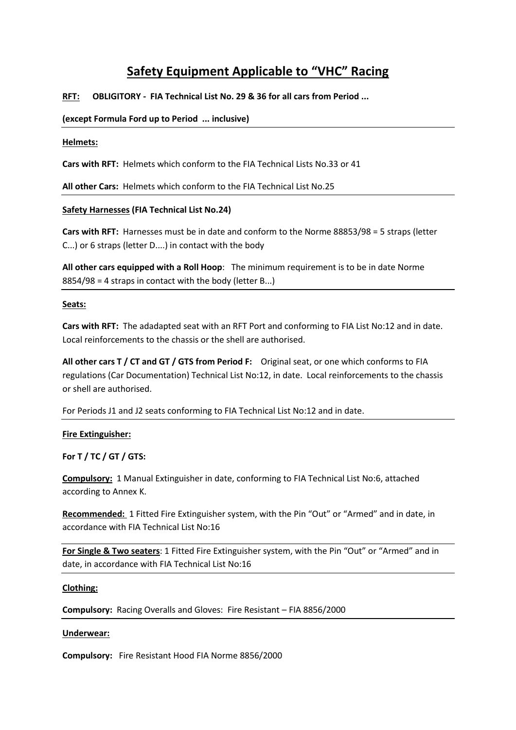# **Safety Equipment Applicable to "VHC" Racing**

# **RFT: OBLIGITORY - FIA Technical List No. 29 & 36 for all cars from Period ...**

## **(except Formula Ford up to Period ... inclusive)**

## **Helmets:**

**Cars with RFT:** Helmets which conform to the FIA Technical Lists No.33 or 41

**All other Cars:** Helmets which conform to the FIA Technical List No.25

## **Safety Harnesses (FIA Technical List No.24)**

**Cars with RFT:** Harnesses must be in date and conform to the Norme 88853/98 = 5 straps (letter C...) or 6 straps (letter D....) in contact with the body

**All other cars equipped with a Roll Hoop**: The minimum requirement is to be in date Norme 8854/98 = 4 straps in contact with the body (letter B...)

## **Seats:**

**Cars with RFT:** The adadapted seat with an RFT Port and conforming to FIA List No:12 and in date. Local reinforcements to the chassis or the shell are authorised.

**All other cars T / CT and GT / GTS from Period F:** Original seat, or one which conforms to FIA regulations (Car Documentation) Technical List No:12, in date. Local reinforcements to the chassis or shell are authorised.

For Periods J1 and J2 seats conforming to FIA Technical List No:12 and in date.

## **Fire Extinguisher:**

**For T / TC / GT / GTS:**

**Compulsory:** 1 Manual Extinguisher in date, conforming to FIA Technical List No:6, attached according to Annex K.

**Recommended:** 1 Fitted Fire Extinguisher system, with the Pin "Out" or "Armed" and in date, in accordance with FIA Technical List No:16

**For Single & Two seaters**: 1 Fitted Fire Extinguisher system, with the Pin "Out" or "Armed" and in date, in accordance with FIA Technical List No:16

## **Clothing:**

**Compulsory:** Racing Overalls and Gloves: Fire Resistant – FIA 8856/2000

## **Underwear:**

**Compulsory:** Fire Resistant Hood FIA Norme 8856/2000